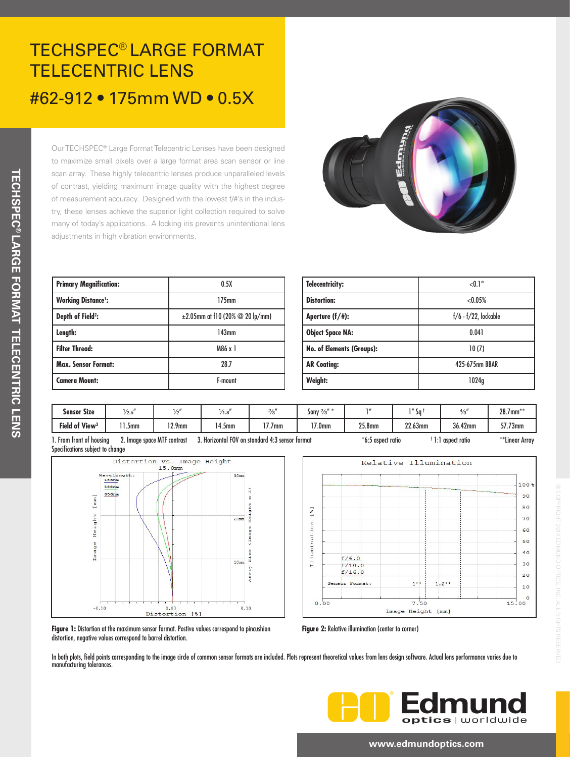# TECHSPEC® LARGE FORMAT TELECENTRIC LENS #62-912 • 175mm WD • 0.5X

Our TECHSPEC® Large Format Telecentric Lenses have been designed to maximize small pixels over a large format area scan sensor or line scan array. These highly telecentric lenses produce unparalleled levels of contrast, yielding maximum image quality with the highest degree of measurement accuracy. Designed with the lowest f/#'s in the industry, these lenses achieve the superior light collection required to solve many of today's applications. A locking iris prevents unintentional lens adjustments in high vibration environments.



| <b>Primary Magnification:</b> | 0.5X                                          |  |  |  |  |
|-------------------------------|-----------------------------------------------|--|--|--|--|
| <b>Working Distance</b> :     | 175mm                                         |  |  |  |  |
| Depth of Field <sup>2</sup> : | $\pm 2.05$ mm at f10 (20% $\oslash$ 20 lp/mm) |  |  |  |  |
| Length:                       | 143mm                                         |  |  |  |  |
| <b>Filter Thread:</b>         | M86 x 1                                       |  |  |  |  |
| <b>Max. Sensor Format:</b>    | 28.7                                          |  |  |  |  |
| <b>Camera Mount:</b>          | F-mount                                       |  |  |  |  |

| Telecentricity:                  | $< 0.1$ °                 |  |  |  |  |
|----------------------------------|---------------------------|--|--|--|--|
| <b>Distortion:</b>               | < 0.05%                   |  |  |  |  |
| Aperture (f/#):                  | $f/6$ - $f/22$ , lockable |  |  |  |  |
| <b>Object Space NA:</b>          | 0.041                     |  |  |  |  |
| <b>No. of Elements (Groups):</b> | 10(7)                     |  |  |  |  |
| <b>AR Coating:</b>               | 425-675nm BBAR            |  |  |  |  |
| Weight:                          | 1024q                     |  |  |  |  |

| $\bullet\bullet$<br><b>Sensor Size</b> | 1/2.5 |           | ٦.٥   | 21<br>ر ،     | $500y^{2/2}$ |           | $\cdot$ Sq. |         | $28.7$ mm** |
|----------------------------------------|-------|-----------|-------|---------------|--------------|-----------|-------------|---------|-------------|
| Field of View <sup>3</sup>             | 5mm   | $12.9$ mm | 4.5mm | ,,,<br>$J$ mm | $17.0$ mm    | $25.8$ mm | 22.63mm     | 36.42mm | 57.73mm     |

1. From front of housing 2. Image space MTF contrast 3. Horizontal FOV on standard 4:3 sensor format \*6:5 aspect ratio Specifications subject to change





1:1 aspect ratio \*\*Linear Array

® COPYRIGHT 2014 EDMUND OPTICS, INC. ALL RIGHTS RESERVED

INC. ALL RIGHTS

**Figure 1:** Distortion at the maximum sensor format. Postive values correspond to pincushion distortion, negative values correspond to barrel distortion.

**Figure 2:** Relative illumination (center to corner)

In both plots, field points corresponding to the image circle of common sensor formats are included. Plots represent theoretical values from lens design software. Actual lens performance varies due to manufacturing tolerances.



#### **www.edmundoptics.com**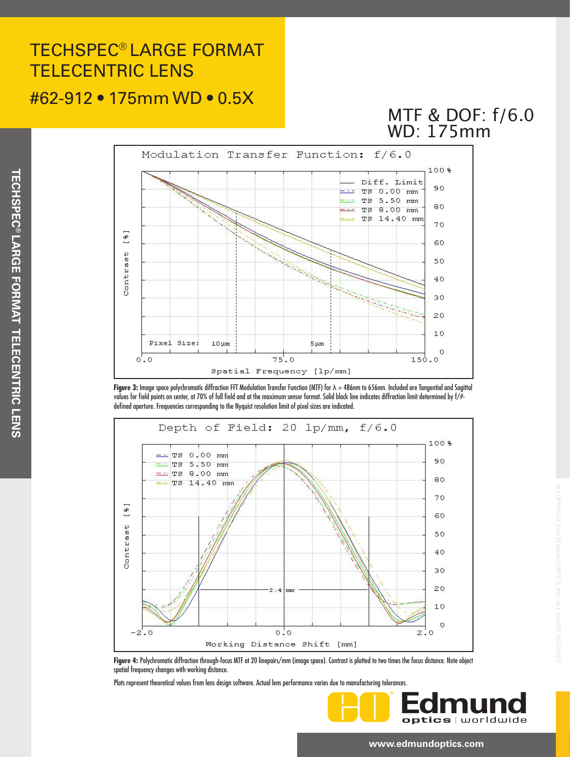# TECHSPEC® LARGE FORMAT TELECENTRIC LENS

### #62-912 • 175mm WD • 0.5X

## MTF & DOF: f/6.0 WD: 175mm



**Figure 3:** Image space polychromatic diffraction FFT Modulation Transfer Function (MTF) for λ = 486nm to 656nm. Included are Tangential and Sagittal values for field points on center, at 70% of full field and at the maximum sensor format. Solid black line indicates diffraction limit determined by f/# defined aperture. Frequencies corresponding to the Nyquist resolution limit of pixel sizes are indicated.



**Figure 4:** Polychromatic diffraction through-focus MTF at 20 linepairs/mm (image space). Contrast is plotted to two times the focus distance. Note object spatial frequency changes with working distance.

Plots represent theoretical values from lens design software. Actual lens performance varies due to manufacturing tolerances.



® COPYRIGHT 2014 EDMUND OPTICS, INC. ALL RIGHTS RESERVED

#### **www.edmundoptics.com**